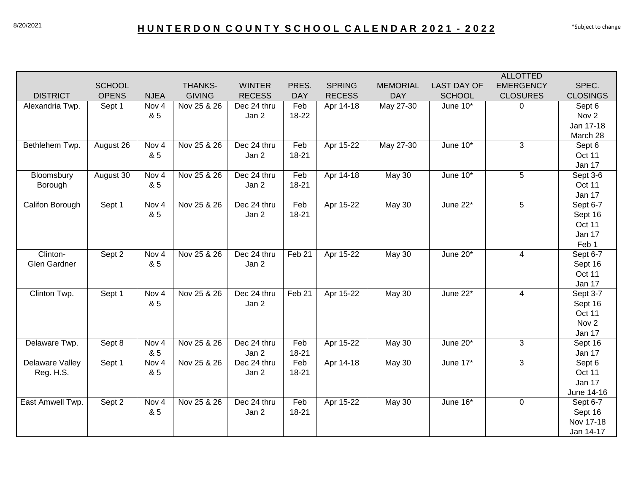|                  |               |                  |                |               |            |               |                 |                    | <b>ALLOTTED</b>  |                  |
|------------------|---------------|------------------|----------------|---------------|------------|---------------|-----------------|--------------------|------------------|------------------|
|                  | <b>SCHOOL</b> |                  | <b>THANKS-</b> | <b>WINTER</b> | PRES.      | <b>SPRING</b> | <b>MEMORIAL</b> | <b>LAST DAY OF</b> | <b>EMERGENCY</b> | SPEC.            |
| <b>DISTRICT</b>  | <b>OPENS</b>  | <b>NJEA</b>      | <b>GIVING</b>  | <b>RECESS</b> | <b>DAY</b> | <b>RECESS</b> | <b>DAY</b>      | <b>SCHOOL</b>      | <b>CLOSURES</b>  | <b>CLOSINGS</b>  |
| Alexandria Twp.  | Sept 1        | Nov 4            | Nov 25 & 26    | Dec 24 thru   | Feb        | Apr 14-18     | May 27-30       | June 10*           | $\Omega$         | Sept 6           |
|                  |               | & 5              |                | Jan 2         | 18-22      |               |                 |                    |                  | Nov <sub>2</sub> |
|                  |               |                  |                |               |            |               |                 |                    |                  | Jan 17-18        |
|                  |               |                  |                |               |            |               |                 |                    |                  | March 28         |
| Bethlehem Twp.   | August 26     | Nov <sub>4</sub> | Nov 25 & 26    | Dec 24 thru   | Feb        | Apr 15-22     | May 27-30       | June $10*$         | 3                | Sept 6           |
|                  |               | & 5              |                | Jan 2         | $18 - 21$  |               |                 |                    |                  | Oct 11           |
|                  |               |                  |                |               |            |               |                 |                    |                  | Jan 17           |
| Bloomsbury       | August 30     | Nov 4            | Nov 25 & 26    | Dec 24 thru   | Feb        | Apr 14-18     | <b>May 30</b>   | June 10*           | 5                | Sept 3-6         |
| Borough          |               | & 5              |                | Jan 2         | $18 - 21$  |               |                 |                    |                  | Oct 11           |
|                  |               |                  |                |               |            |               |                 |                    |                  | Jan 17           |
| Califon Borough  | Sept 1        | Nov 4            | Nov 25 & 26    | Dec 24 thru   | Feb        | Apr 15-22     | <b>May 30</b>   | June 22*           | 5                | Sept 6-7         |
|                  |               | & 5              |                | Jan 2         | $18 - 21$  |               |                 |                    |                  | Sept 16          |
|                  |               |                  |                |               |            |               |                 |                    |                  | Oct 11           |
|                  |               |                  |                |               |            |               |                 |                    |                  | Jan 17           |
|                  |               |                  |                |               |            |               |                 |                    |                  | Feb 1            |
| Clinton-         | Sept 2        | Nov <sub>4</sub> | Nov 25 & 26    | Dec 24 thru   | Feb 21     | Apr 15-22     | <b>May 30</b>   | June 20*           | $\overline{4}$   | Sept 6-7         |
| Glen Gardner     |               | & 5              |                | Jan 2         |            |               |                 |                    |                  | Sept 16          |
|                  |               |                  |                |               |            |               |                 |                    |                  | Oct 11           |
|                  |               |                  |                |               |            |               |                 |                    |                  | Jan 17           |
| Clinton Twp.     | Sept 1        | Nov 4            | Nov 25 & 26    | Dec 24 thru   | Feb 21     | Apr 15-22     | May 30          | June 22*           | $\overline{4}$   | Sept 3-7         |
|                  |               | & 5              |                | Jan 2         |            |               |                 |                    |                  | Sept 16          |
|                  |               |                  |                |               |            |               |                 |                    |                  | Oct 11           |
|                  |               |                  |                |               |            |               |                 |                    |                  | Nov <sub>2</sub> |
|                  |               |                  |                |               |            |               |                 |                    |                  | Jan 17           |
| Delaware Twp.    | Sept 8        | Nov 4            | Nov 25 & 26    | Dec 24 thru   | Feb        | Apr 15-22     | <b>May 30</b>   | June 20*           | 3                | Sept 16          |
|                  |               | & 5              |                | Jan 2         | $18 - 21$  |               |                 |                    |                  | Jan 17           |
| Delaware Valley  | Sept 1        | Nov <sub>4</sub> | Nov 25 & 26    | Dec 24 thru   | Feb        | Apr 14-18     | <b>May 30</b>   | June 17*           | 3                | Sept 6           |
| Reg. H.S.        |               | & 5              |                | Jan 2         | 18-21      |               |                 |                    |                  | Oct 11           |
|                  |               |                  |                |               |            |               |                 |                    |                  | Jan 17           |
|                  |               |                  |                |               |            |               |                 |                    |                  | June 14-16       |
| East Amwell Twp. | Sept 2        | Nov 4            | Nov 25 & 26    | Dec 24 thru   | Feb        | Apr 15-22     | <b>May 30</b>   | June 16*           | $\mathbf 0$      | Sept 6-7         |
|                  |               | & 5              |                | Jan 2         | 18-21      |               |                 |                    |                  | Sept 16          |
|                  |               |                  |                |               |            |               |                 |                    |                  | Nov 17-18        |
|                  |               |                  |                |               |            |               |                 |                    |                  | Jan 14-17        |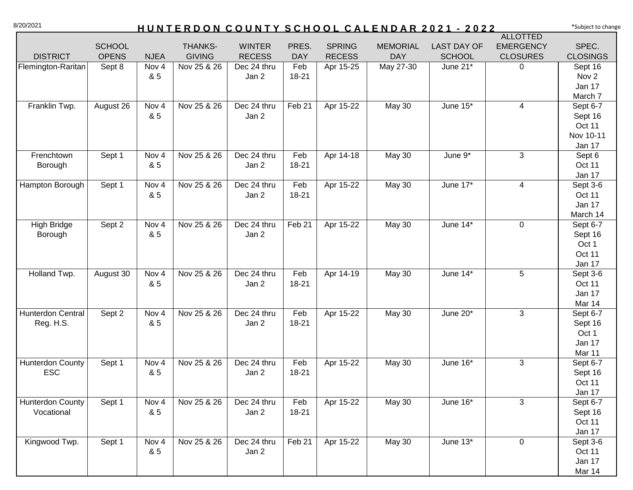## 8/20/2021 **HUNTERDON COUNTY SCHOOL CALENDAR 2021 - 2022** \*Subject to change

|                         |               |                  |                |               |            |               |                 |                    | <b>ALLOTTED</b>  |                    |
|-------------------------|---------------|------------------|----------------|---------------|------------|---------------|-----------------|--------------------|------------------|--------------------|
|                         | <b>SCHOOL</b> |                  | <b>THANKS-</b> | <b>WINTER</b> | PRES.      | <b>SPRING</b> | <b>MEMORIAL</b> | <b>LAST DAY OF</b> | <b>EMERGENCY</b> | SPEC.              |
| <b>DISTRICT</b>         | <b>OPENS</b>  | <b>NJEA</b>      | <b>GIVING</b>  | <b>RECESS</b> | <b>DAY</b> | <b>RECESS</b> | <b>DAY</b>      | <b>SCHOOL</b>      | <b>CLOSURES</b>  | <b>CLOSINGS</b>    |
| Flemington-Raritan      | Sept 8        | Nov <sub>4</sub> | Nov 25 & 26    | Dec 24 thru   | Feb        | Apr 15-25     | May 27-30       | June 21*           | 0                | Sept 16            |
|                         |               | & 5              |                | Jan 2         | 18-21      |               |                 |                    |                  | Nov <sub>2</sub>   |
|                         |               |                  |                |               |            |               |                 |                    |                  | Jan 17             |
|                         |               |                  |                |               |            |               |                 |                    |                  | March 7            |
| Franklin Twp.           | August 26     | Nov <sub>4</sub> | Nov 25 & 26    | Dec 24 thru   | Feb 21     | Apr 15-22     | May 30          | June 15*           | 4                | Sept 6-7           |
|                         |               | & 5              |                | Jan 2         |            |               |                 |                    |                  | Sept 16            |
|                         |               |                  |                |               |            |               |                 |                    |                  | Oct 11             |
|                         |               |                  |                |               |            |               |                 |                    |                  | Nov 10-11          |
|                         |               |                  |                |               |            |               |                 |                    |                  | Jan 17             |
| Frenchtown              | Sept 1        | Nov <sub>4</sub> | Nov 25 & 26    | Dec 24 thru   | Feb        | Apr 14-18     | May 30          | June $9*$          | 3                | Sept 6             |
| Borough                 |               | & 5              |                | Jan 2         | 18-21      |               |                 |                    |                  | Oct 11             |
|                         |               |                  |                |               |            |               |                 |                    |                  | Jan 17             |
| Hampton Borough         | Sept 1        | Nov <sub>4</sub> | Nov 25 & 26    | Dec 24 thru   | Feb        | Apr 15-22     | <b>May 30</b>   | June 17*           | 4                | Sept 3-6           |
|                         |               | & 5              |                | Jan 2         | 18-21      |               |                 |                    |                  | Oct 11             |
|                         |               |                  |                |               |            |               |                 |                    |                  | Jan 17             |
|                         |               |                  |                |               |            |               |                 |                    |                  | March 14           |
| High Bridge             | Sept 2        | Nov 4            | Nov 25 & 26    | Dec 24 thru   | Feb 21     | Apr 15-22     | May 30          | June $14^*$        | $\mathbf 0$      | Sept 6-7           |
| Borough                 |               | & 5              |                | Jan 2         |            |               |                 |                    |                  | Sept 16            |
|                         |               |                  |                |               |            |               |                 |                    |                  | Oct 1              |
|                         |               |                  |                |               |            |               |                 |                    |                  | Oct 11             |
|                         |               |                  |                |               |            |               |                 |                    |                  | Jan 17             |
| Holland Twp.            | August 30     | Nov 4            | Nov 25 & 26    | Dec 24 thru   | Feb        | Apr 14-19     | May 30          | June 14*           | $5\phantom{.0}$  | Sept 3-6           |
|                         |               | & 5              |                | Jan 2         | 18-21      |               |                 |                    |                  | Oct 11             |
|                         |               |                  |                |               |            |               |                 |                    |                  | Jan 17             |
|                         |               |                  |                |               |            |               |                 |                    |                  | Mar 14             |
| Hunterdon Central       | Sept 2        | Nov 4            | Nov 25 & 26    | Dec 24 thru   | Feb        | Apr 15-22     | May 30          | June 20*           | 3                | Sept 6-7           |
| Reg. H.S.               |               | & 5              |                | Jan 2         | 18-21      |               |                 |                    |                  | Sept 16            |
|                         |               |                  |                |               |            |               |                 |                    |                  | Oct 1              |
|                         |               |                  |                |               |            |               |                 |                    |                  | Jan 17             |
|                         |               |                  |                |               |            |               |                 |                    |                  | Mar 11             |
| <b>Hunterdon County</b> | Sept 1        | Nov 4<br>& 5     | Nov 25 & 26    | Dec 24 thru   | Feb        | Apr 15-22     | May 30          | June 16*           | 3                | Sept 6-7           |
| <b>ESC</b>              |               |                  |                | Jan 2         | 18-21      |               |                 |                    |                  | Sept 16            |
|                         |               |                  |                |               |            |               |                 |                    |                  | Oct 11             |
| <b>Hunterdon County</b> | Sept 1        | Nov 4            | Nov 25 & 26    | Dec 24 thru   | Feb        | Apr 15-22     | May 30          | June 16*           | 3                | Jan 17<br>Sept 6-7 |
| Vocational              |               | & 5              |                | Jan 2         | 18-21      |               |                 |                    |                  | Sept 16            |
|                         |               |                  |                |               |            |               |                 |                    |                  | Oct 11             |
|                         |               |                  |                |               |            |               |                 |                    |                  | Jan 17             |
| Kingwood Twp.           | Sept 1        | Nov 4            | Nov 25 & 26    | Dec 24 thru   | Feb 21     | Apr 15-22     | May 30          | June $13*$         | $\mathbf 0$      | Sept 3-6           |
|                         |               | & 5              |                | Jan 2         |            |               |                 |                    |                  | Oct 11             |
|                         |               |                  |                |               |            |               |                 |                    |                  | Jan 17             |
|                         |               |                  |                |               |            |               |                 |                    |                  | Mar 14             |
|                         |               |                  |                |               |            |               |                 |                    |                  |                    |